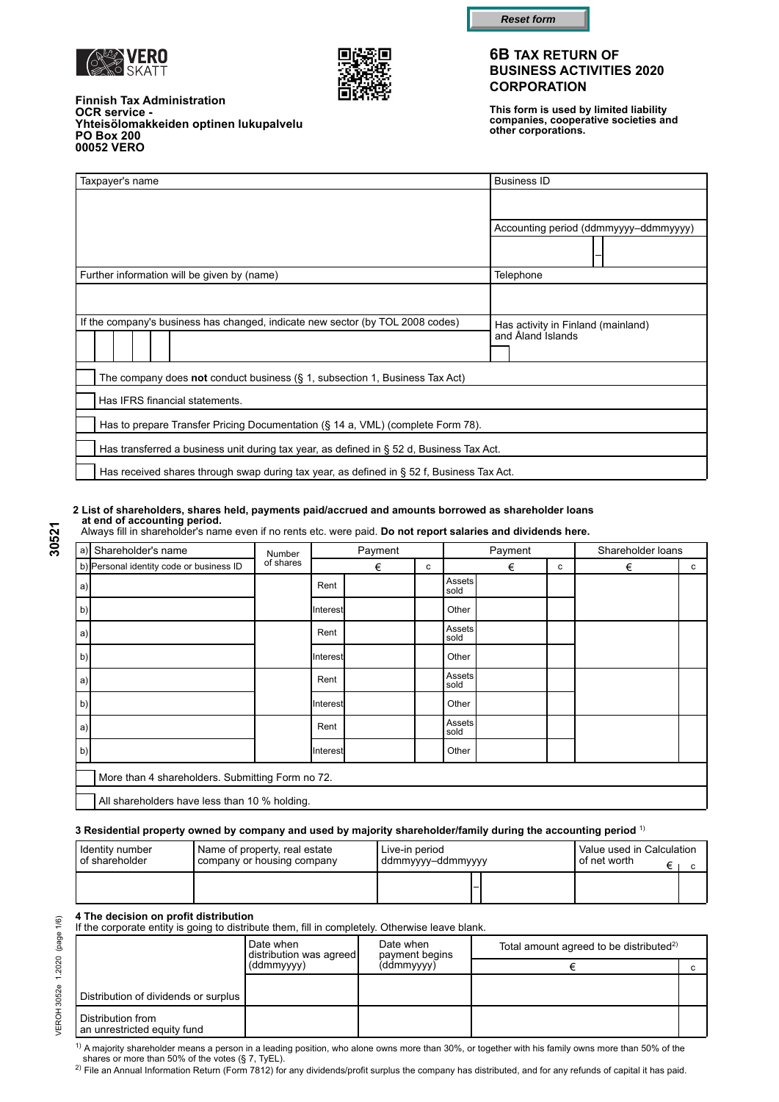



**OCR service -** 

**PO Box 200 00052 VERO**

**Finnish Tax Administration**

**Yhteisölomakkeiden optinen lukupalvelu**



#### **6B TAX RETURN OF BUSINESS ACTIVITIES 2020 CORPORATION**

**This form is used by limited liability companies, cooperative societies and other corporations.**

| Taxpayer's name                                                                           | <b>Business ID</b>                                      |  |  |
|-------------------------------------------------------------------------------------------|---------------------------------------------------------|--|--|
|                                                                                           |                                                         |  |  |
|                                                                                           | Accounting period (ddmmyyyy-ddmmyyyy)                   |  |  |
|                                                                                           |                                                         |  |  |
| Further information will be given by (name)                                               | Telephone                                               |  |  |
|                                                                                           |                                                         |  |  |
| If the company's business has changed, indicate new sector (by TOL 2008 codes)            | Has activity in Finland (mainland)<br>and Åland Islands |  |  |
| The company does not conduct business $(\S 1,$ subsection 1, Business Tax Act)            |                                                         |  |  |
| Has IFRS financial statements.                                                            |                                                         |  |  |
| Has to prepare Transfer Pricing Documentation (§ 14 a, VML) (complete Form 78).           |                                                         |  |  |
| Has transferred a business unit during tax year, as defined in § 52 d, Business Tax Act.  |                                                         |  |  |
| Has received shares through swap during tax year, as defined in § 52 f, Business Tax Act. |                                                         |  |  |

#### **2 List of shareholders, shares held, payments paid/accrued and amounts borrowed as shareholder loans at end of accounting period.**

Always fill in shareholder's name even if no rents etc. were paid. **Do not report salaries and dividends here.**

| a)                | Shareholder's name                               | Number                                        |          | Payment |  |                | Payment |   | Shareholder loans |              |  |
|-------------------|--------------------------------------------------|-----------------------------------------------|----------|---------|--|----------------|---------|---|-------------------|--------------|--|
|                   | b) Personal identity code or business ID         | of shares                                     |          | €       |  |                | €       | c | €                 | $\mathbf{C}$ |  |
| a)                |                                                  |                                               | Rent     |         |  | Assets<br>sold |         |   |                   |              |  |
| $\vert b \rangle$ |                                                  |                                               | Interest |         |  | Other          |         |   |                   |              |  |
| a)                |                                                  |                                               | Rent     |         |  | Assets<br>sold |         |   |                   |              |  |
| $\vert b)$        |                                                  |                                               | Interest |         |  | Other          |         |   |                   |              |  |
| a)                |                                                  |                                               | Rent     |         |  | Assets<br>sold |         |   |                   |              |  |
| $\vert b \rangle$ |                                                  |                                               | Interest |         |  | Other          |         |   |                   |              |  |
| a)                |                                                  |                                               | Rent     |         |  | Assets<br>sold |         |   |                   |              |  |
| b)                |                                                  |                                               | Interest |         |  | Other          |         |   |                   |              |  |
|                   | More than 4 shareholders. Submitting Form no 72. |                                               |          |         |  |                |         |   |                   |              |  |
|                   |                                                  | All shareholders have less than 10 % holding. |          |         |  |                |         |   |                   |              |  |

#### **3 Residential property owned by company and used by majority shareholder/family during the accounting period** 1)

| I Identitv number       | Name of property, real estate | Live-in period    | Value used in Calculation |
|-------------------------|-------------------------------|-------------------|---------------------------|
| <b>I</b> of shareholder | company or housing company    | ddmmyyyy-ddmmyyyy | I of net worth_           |
|                         |                               |                   |                           |

**4 The decision on profit distribution**<br>If the corporate entity is going to distribute them, fill in completely. Otherwise leave blank.

|                                                  | Date when<br>distribution was agreed | Date when<br>payment begins<br>(ddmmyyyy) | Total amount agreed to be distributed <sup>2)</sup> |  |  |
|--------------------------------------------------|--------------------------------------|-------------------------------------------|-----------------------------------------------------|--|--|
|                                                  | (ddmmyyyy)                           |                                           |                                                     |  |  |
|                                                  |                                      |                                           |                                                     |  |  |
| Distribution of dividends or surplus             |                                      |                                           |                                                     |  |  |
| Distribution from<br>an unrestricted equity fund |                                      |                                           |                                                     |  |  |

30521

2) File an Annual Information Return (Form 7812) for any dividends/profit surplus the company has distributed, and for any refunds of capital it has paid. <sup>1)</sup> A majority shareholder means a person in a leading position, who alone owns more than 30%, or together with his family owns more than 50% of the<br>shares or more than 50% of the votes (§ 7, TyEL).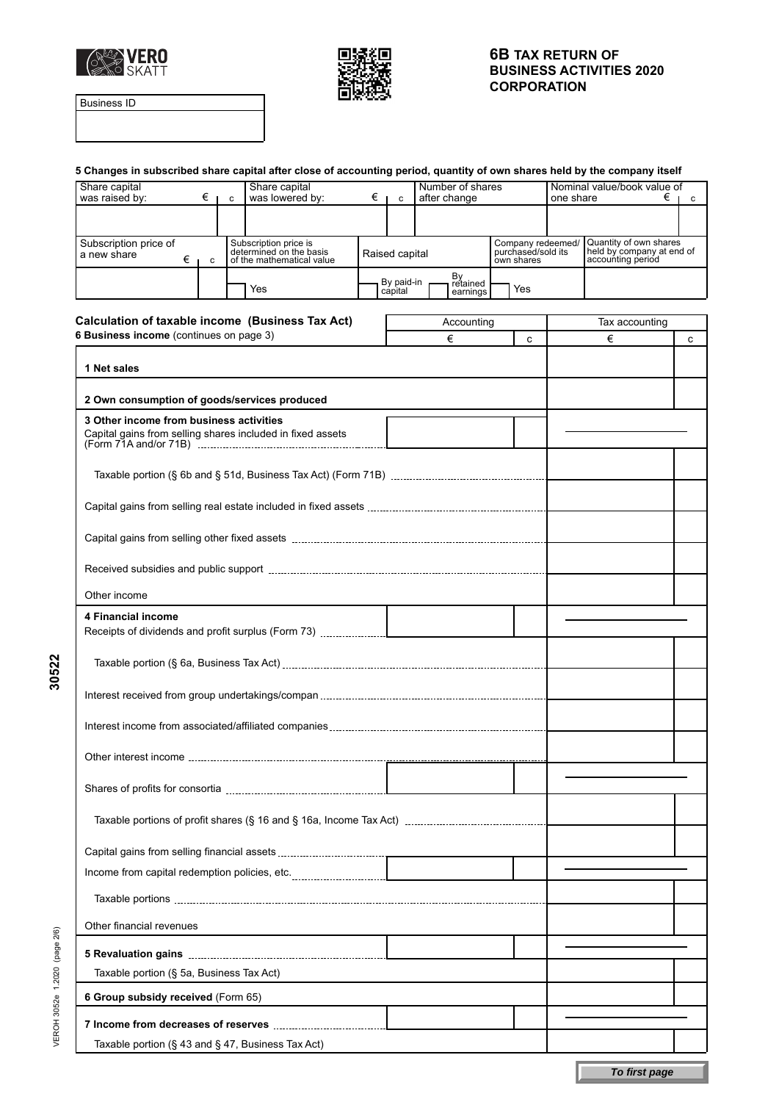



Business ID

|                                                                                |                       | 5 Changes in subscribed share capital after close of accounting period, quantity of own shares held by the company itself |                       |                                  |                                                       |           |                                                                          |     |
|--------------------------------------------------------------------------------|-----------------------|---------------------------------------------------------------------------------------------------------------------------|-----------------------|----------------------------------|-------------------------------------------------------|-----------|--------------------------------------------------------------------------|-----|
| Share capital<br>was raised by:                                                | $\epsilon$ $\epsilon$ | Share capital<br>was lowered by:                                                                                          | $\epsilon$   c        | Number of shares<br>after change |                                                       | one share | Nominal value/book value of                                              | €∣с |
|                                                                                |                       |                                                                                                                           |                       |                                  |                                                       |           |                                                                          |     |
| Subscription price of<br>a new share<br>€                                      | $\mathbf c$           | Subscription price is<br>determined on the basis<br>of the mathematical value                                             | Raised capital        |                                  | Company redeemed/<br>purchased/sold its<br>own shares |           | Quantity of own shares<br>held by company at end of<br>accounting period |     |
|                                                                                |                       | Yes                                                                                                                       | By paid-in<br>capital | By<br>retained<br>earnings       | Yes                                                   |           |                                                                          |     |
|                                                                                |                       |                                                                                                                           |                       |                                  |                                                       |           |                                                                          |     |
| 6 Business income (continues on page 3)                                        |                       | Calculation of taxable income (Business Tax Act)                                                                          |                       | Accounting                       |                                                       |           | Tax accounting                                                           |     |
|                                                                                |                       |                                                                                                                           |                       | €                                | c                                                     |           | €                                                                        | c   |
| 1 Net sales                                                                    |                       |                                                                                                                           |                       |                                  |                                                       |           |                                                                          |     |
| 2 Own consumption of goods/services produced                                   |                       |                                                                                                                           |                       |                                  |                                                       |           |                                                                          |     |
| 3 Other income from business activities                                        |                       | Capital gains from selling shares included in fixed assets                                                                |                       |                                  |                                                       |           |                                                                          |     |
|                                                                                |                       |                                                                                                                           |                       |                                  |                                                       |           |                                                                          |     |
|                                                                                |                       |                                                                                                                           |                       |                                  |                                                       |           |                                                                          |     |
|                                                                                |                       |                                                                                                                           |                       |                                  |                                                       |           |                                                                          |     |
|                                                                                |                       |                                                                                                                           |                       |                                  |                                                       |           |                                                                          |     |
| Other income                                                                   |                       |                                                                                                                           |                       |                                  |                                                       |           |                                                                          |     |
| <b>4 Financial income</b>                                                      |                       |                                                                                                                           |                       |                                  |                                                       |           |                                                                          |     |
|                                                                                |                       |                                                                                                                           |                       |                                  |                                                       |           |                                                                          |     |
|                                                                                |                       |                                                                                                                           |                       |                                  |                                                       |           |                                                                          |     |
|                                                                                |                       |                                                                                                                           |                       |                                  |                                                       |           |                                                                          |     |
|                                                                                |                       |                                                                                                                           |                       |                                  |                                                       |           |                                                                          |     |
|                                                                                |                       |                                                                                                                           |                       |                                  |                                                       |           |                                                                          |     |
|                                                                                |                       |                                                                                                                           |                       |                                  |                                                       |           |                                                                          |     |
|                                                                                |                       |                                                                                                                           |                       |                                  |                                                       |           |                                                                          |     |
|                                                                                |                       |                                                                                                                           |                       |                                  |                                                       |           |                                                                          |     |
|                                                                                |                       |                                                                                                                           |                       |                                  |                                                       |           |                                                                          |     |
|                                                                                |                       |                                                                                                                           |                       |                                  |                                                       |           |                                                                          |     |
|                                                                                |                       |                                                                                                                           |                       |                                  |                                                       |           |                                                                          |     |
| Other financial revenues                                                       |                       |                                                                                                                           |                       |                                  |                                                       |           |                                                                          |     |
|                                                                                |                       |                                                                                                                           |                       |                                  |                                                       |           |                                                                          |     |
| Taxable portion (§ 5a, Business Tax Act)<br>6 Group subsidy received (Form 65) |                       |                                                                                                                           |                       |                                  |                                                       |           |                                                                          |     |
|                                                                                |                       |                                                                                                                           |                       |                                  |                                                       |           |                                                                          |     |
|                                                                                |                       | Taxable portion (§ 43 and § 47, Business Tax Act)                                                                         |                       |                                  |                                                       |           |                                                                          |     |
|                                                                                |                       |                                                                                                                           |                       |                                  |                                                       |           |                                                                          |     |
|                                                                                |                       |                                                                                                                           |                       |                                  |                                                       |           | To first page                                                            |     |

**30522**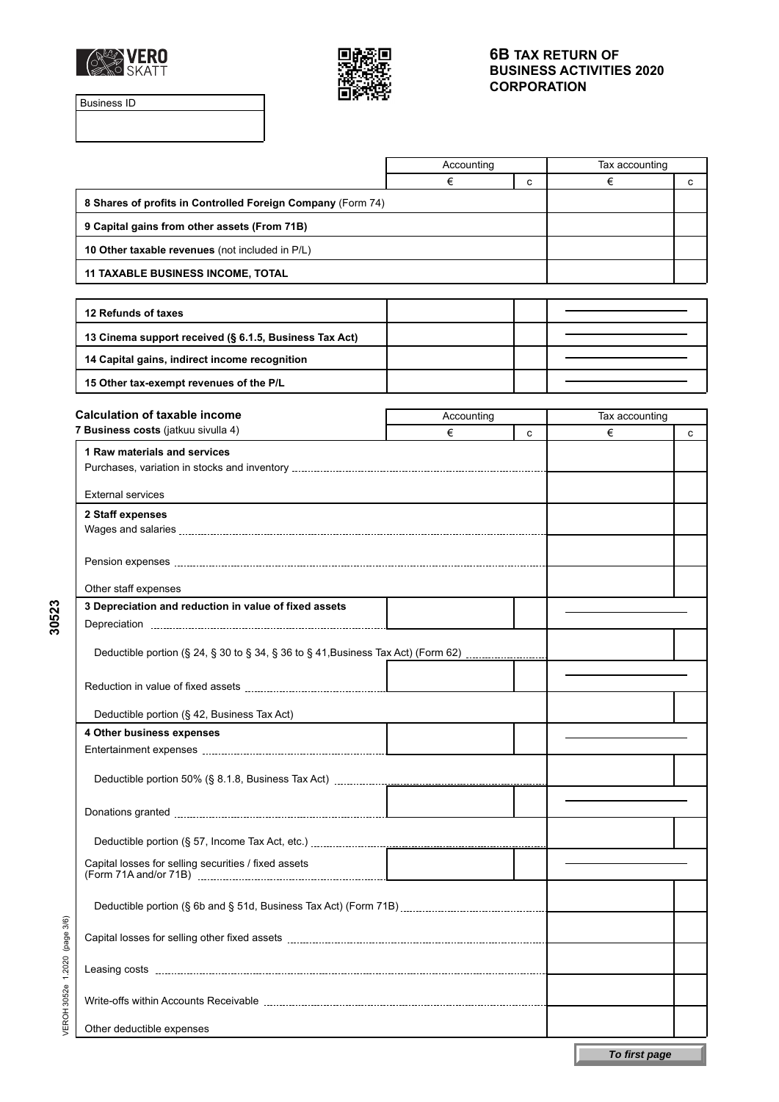



Business ID

|                                                                                   | Accounting |   | Tax accounting |   |
|-----------------------------------------------------------------------------------|------------|---|----------------|---|
|                                                                                   | €          | c | €              | c |
| 8 Shares of profits in Controlled Foreign Company (Form 74)                       |            |   |                |   |
| 9 Capital gains from other assets (From 71B)                                      |            |   |                |   |
| 10 Other taxable revenues (not included in P/L)                                   |            |   |                |   |
| <b>11 TAXABLE BUSINESS INCOME, TOTAL</b>                                          |            |   |                |   |
|                                                                                   |            |   |                |   |
| 12 Refunds of taxes                                                               |            |   |                |   |
| 13 Cinema support received (§ 6.1.5, Business Tax Act)                            |            |   |                |   |
| 14 Capital gains, indirect income recognition                                     |            |   |                |   |
| 15 Other tax-exempt revenues of the P/L                                           |            |   |                |   |
|                                                                                   |            |   |                |   |
| <b>Calculation of taxable income</b>                                              | Accounting |   | Tax accounting |   |
| 7 Business costs (jatkuu sivulla 4)                                               | €          | c | €              | с |
| 1 Raw materials and services                                                      |            |   |                |   |
|                                                                                   |            |   |                |   |
| <b>External services</b>                                                          |            |   |                |   |
| 2 Staff expenses                                                                  |            |   |                |   |
|                                                                                   |            |   |                |   |
|                                                                                   |            |   |                |   |
|                                                                                   |            |   |                |   |
| Other staff expenses                                                              |            |   |                |   |
| 3 Depreciation and reduction in value of fixed assets                             |            |   |                |   |
|                                                                                   |            |   |                |   |
| Deductible portion (§ 24, § 30 to § 34, § 36 to § 41, Business Tax Act) (Form 62) |            |   |                |   |
|                                                                                   |            |   |                |   |
|                                                                                   |            |   |                |   |
| Deductible portion (§ 42, Business Tax Act)                                       |            |   |                |   |
| 4 Other business expenses                                                         |            |   |                |   |
|                                                                                   |            |   |                |   |
|                                                                                   |            |   |                |   |
|                                                                                   |            |   |                |   |
|                                                                                   |            |   |                |   |
|                                                                                   |            |   |                |   |
|                                                                                   |            |   |                |   |
| Capital losses for selling securities / fixed assets                              |            |   |                |   |
|                                                                                   |            |   |                |   |
|                                                                                   |            |   |                |   |
|                                                                                   |            |   |                |   |
|                                                                                   |            |   |                |   |
|                                                                                   |            |   |                |   |
|                                                                                   |            |   |                |   |
|                                                                                   |            |   |                |   |
| Other deductible expenses                                                         |            |   |                |   |

**30523**

**To first page**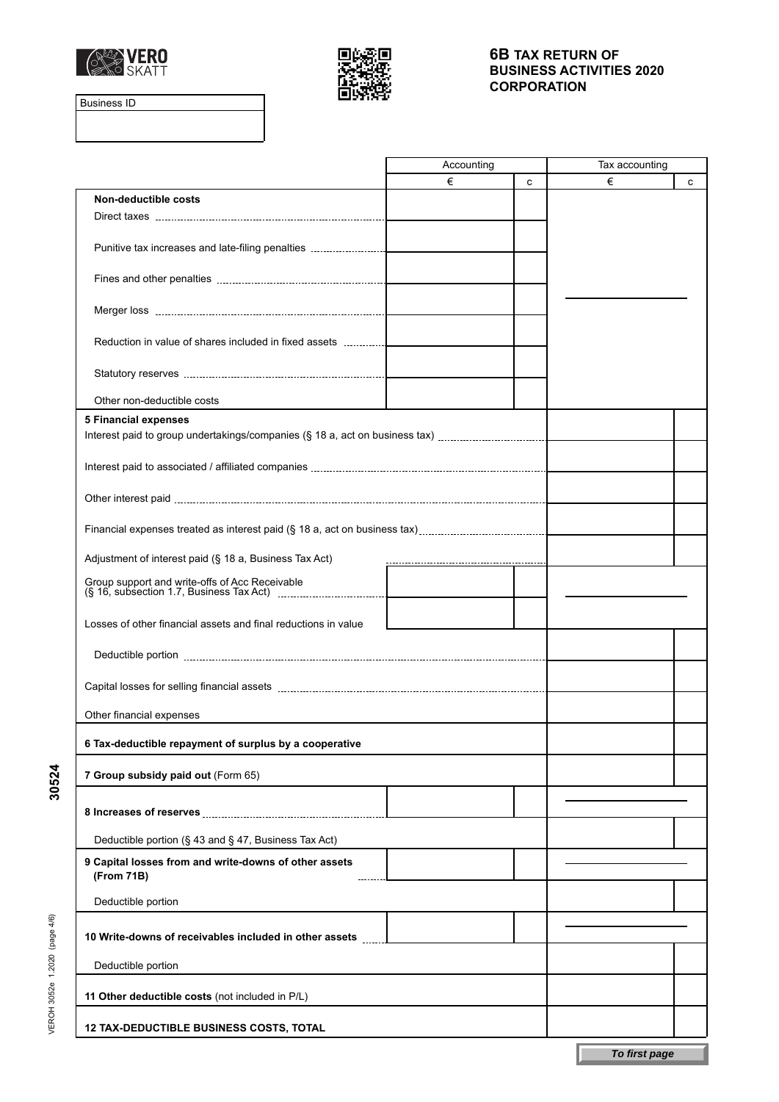



Business ID

**30524**

VEROH 3052e 1.2020 (page 4/6)

VEROH 3052e 1.2020 (page 4/6)

|                                                                             | Accounting |   | Tax accounting |   |
|-----------------------------------------------------------------------------|------------|---|----------------|---|
|                                                                             | €          | c | €              | C |
| Non-deductible costs                                                        |            |   |                |   |
|                                                                             |            |   |                |   |
| Punitive tax increases and late-filing penalties                            |            |   |                |   |
|                                                                             |            |   |                |   |
|                                                                             |            |   |                |   |
|                                                                             |            |   |                |   |
|                                                                             |            |   |                |   |
| Reduction in value of shares included in fixed assets                       |            |   |                |   |
|                                                                             |            |   |                |   |
|                                                                             |            |   |                |   |
| Other non-deductible costs                                                  |            |   |                |   |
| <b>5 Financial expenses</b>                                                 |            |   |                |   |
| Interest paid to group undertakings/companies (§ 18 a, act on business tax) |            |   |                |   |
|                                                                             |            |   |                |   |
|                                                                             |            |   |                |   |
|                                                                             |            |   |                |   |
|                                                                             |            |   |                |   |
|                                                                             |            |   |                |   |
| Adjustment of interest paid (§ 18 a, Business Tax Act)                      |            |   |                |   |
|                                                                             |            |   |                |   |
|                                                                             |            |   |                |   |
| Losses of other financial assets and final reductions in value              |            |   |                |   |
|                                                                             |            |   |                |   |
|                                                                             |            |   |                |   |
|                                                                             |            |   |                |   |
|                                                                             |            |   |                |   |
| Other financial expenses                                                    |            |   |                |   |
|                                                                             |            |   |                |   |
| 6 Tax-deductible repayment of surplus by a cooperative                      |            |   |                |   |
| 7 Group subsidy paid out (Form 65)                                          |            |   |                |   |
|                                                                             |            |   |                |   |
|                                                                             |            |   |                |   |
| Deductible portion (§ 43 and § 47, Business Tax Act)                        |            |   |                |   |
| 9 Capital losses from and write-downs of other assets                       |            |   |                |   |
| (From 71B)                                                                  |            |   |                |   |
| Deductible portion                                                          |            |   |                |   |
|                                                                             |            |   |                |   |
| 10 Write-downs of receivables included in other assets                      |            |   |                |   |
|                                                                             |            |   |                |   |
| Deductible portion                                                          |            |   |                |   |
| 11 Other deductible costs (not included in P/L)                             |            |   |                |   |
|                                                                             |            |   |                |   |
| <b>12 TAX-DEDUCTIBLE BUSINESS COSTS, TOTAL</b>                              |            |   |                |   |
|                                                                             |            |   | To first page  |   |
|                                                                             |            |   |                |   |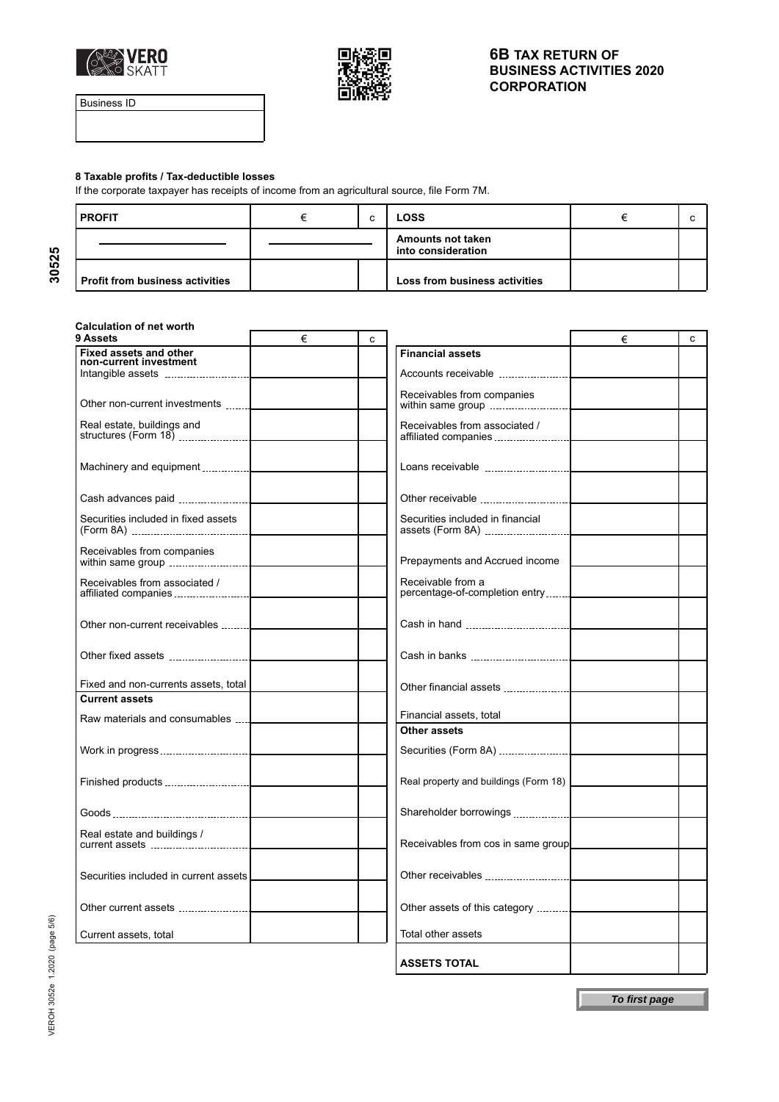



Business ID

#### **8 Taxable profits / Tax-deductible losses**

If the corporate taxpayer has receipts of income from an agricultural source, file Form 7M.

| l PROFIT                        |  | c | LOSS                                    |  |
|---------------------------------|--|---|-----------------------------------------|--|
|                                 |  |   | Amounts not taken<br>into consideration |  |
| Profit from business activities |  |   | Loss from business activities           |  |

# **Calculation of net worth**

| 9 Assets                                                    | € | c |                                                     | € | C |
|-------------------------------------------------------------|---|---|-----------------------------------------------------|---|---|
| <b>Fixed assets and other</b><br>non-current investment     |   |   | <b>Financial assets</b>                             |   |   |
|                                                             |   |   | Accounts receivable                                 |   |   |
| Other non-current investments                               |   |   | Receivables from companies<br>within same group     |   |   |
| Real estate, buildings and<br>structures (Form 18) $\ldots$ |   |   | Receivables from associated /                       |   |   |
|                                                             |   |   |                                                     |   |   |
|                                                             |   |   | Other receivable                                    |   |   |
| Securities included in fixed assets                         |   |   | Securities included in financial                    |   |   |
| Receivables from companies                                  |   |   | Prepayments and Accrued income                      |   |   |
| Receivables from associated /                               |   |   | Receivable from a<br>percentage-of-completion entry |   |   |
| Other non-current receivables                               |   |   |                                                     |   |   |
|                                                             |   |   |                                                     |   |   |
| Fixed and non-currents assets, total                        |   |   | Other financial assets                              |   |   |
| <b>Current assets</b>                                       |   |   |                                                     |   |   |
| Raw materials and consumables                               |   |   | Financial assets, total                             |   |   |
|                                                             |   |   | Other assets<br>Securities (Form 8A)                |   |   |
|                                                             |   |   | Real property and buildings (Form 18)               |   |   |
|                                                             |   |   | Shareholder borrowings                              |   |   |
| Real estate and buildings /                                 |   |   | Receivables from cos in same group                  |   |   |
| Securities included in current assets                       |   |   | Other receivables                                   |   |   |
|                                                             |   |   |                                                     |   |   |
| Current assets, total                                       |   |   | Total other assets                                  |   |   |
|                                                             |   |   | <b>ASSETS TOTAL</b>                                 |   |   |

**30525**

**To first page**